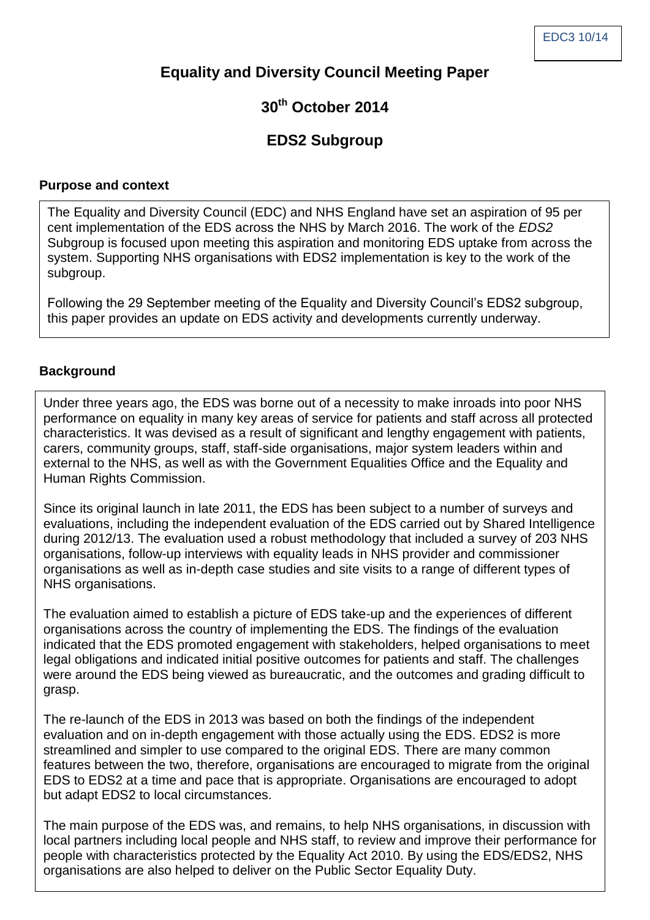# **Equality and Diversity Council Meeting Paper**

# **30th October 2014**

# **EDS2 Subgroup**

### **Purpose and context**

The Equality and Diversity Council (EDC) and NHS England have set an aspiration of 95 per cent implementation of the EDS across the NHS by March 2016. The work of the *EDS2* Subgroup is focused upon meeting this aspiration and monitoring EDS uptake from across the system. Supporting NHS organisations with EDS2 implementation is key to the work of the subgroup.

Following the 29 September meeting of the Equality and Diversity Council's EDS2 subgroup, this paper provides an update on EDS activity and developments currently underway.

### **Background**

Under three years ago, the EDS was borne out of a necessity to make inroads into poor NHS performance on equality in many key areas of service for patients and staff across all protected characteristics. It was devised as a result of significant and lengthy engagement with patients, carers, community groups, staff, staff-side organisations, major system leaders within and external to the NHS, as well as with the Government Equalities Office and the Equality and Human Rights Commission.

Since its original launch in late 2011, the EDS has been subject to a number of surveys and evaluations, including the independent evaluation of the EDS carried out by Shared Intelligence during 2012/13. The evaluation used a robust methodology that included a survey of 203 NHS organisations, follow-up interviews with equality leads in NHS provider and commissioner organisations as well as in-depth case studies and site visits to a range of different types of NHS organisations.

The evaluation aimed to establish a picture of EDS take-up and the experiences of different organisations across the country of implementing the EDS. The findings of the evaluation indicated that the EDS promoted engagement with stakeholders, helped organisations to meet legal obligations and indicated initial positive outcomes for patients and staff. The challenges were around the EDS being viewed as bureaucratic, and the outcomes and grading difficult to grasp.

The re-launch of the EDS in 2013 was based on both the findings of the independent evaluation and on in-depth engagement with those actually using the EDS. EDS2 is more streamlined and simpler to use compared to the original EDS. There are many common features between the two, therefore, organisations are encouraged to migrate from the original EDS to EDS2 at a time and pace that is appropriate. Organisations are encouraged to adopt but adapt EDS2 to local circumstances.

The main purpose of the EDS was, and remains, to help NHS organisations, in discussion with local partners including local people and NHS staff, to review and improve their performance for people with characteristics protected by the Equality Act 2010. By using the EDS/EDS2, NHS organisations are also helped to deliver on the Public Sector Equality Duty.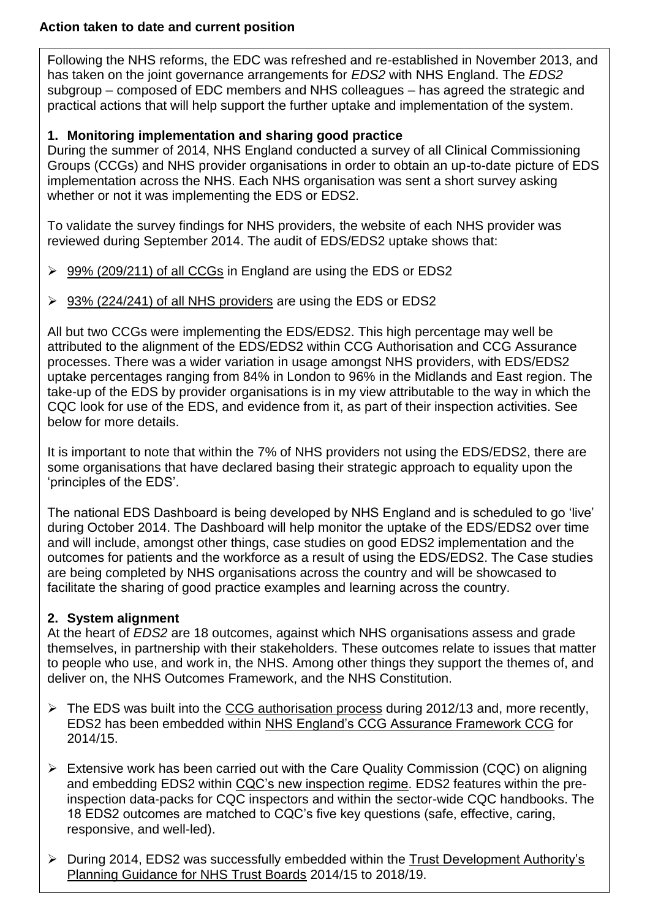### **Action taken to date and current position**

Following the NHS reforms, the EDC was refreshed and re-established in November 2013, and has taken on the joint governance arrangements for *EDS2* with NHS England. The *EDS2* subgroup – composed of EDC members and NHS colleagues – has agreed the strategic and practical actions that will help support the further uptake and implementation of the system.

## **1. Monitoring implementation and sharing good practice**

During the summer of 2014, NHS England conducted a survey of all Clinical Commissioning Groups (CCGs) and NHS provider organisations in order to obtain an up-to-date picture of EDS implementation across the NHS. Each NHS organisation was sent a short survey asking whether or not it was implementing the EDS or EDS2.

To validate the survey findings for NHS providers, the website of each NHS provider was reviewed during September 2014. The audit of EDS/EDS2 uptake shows that:

- $\geq$  99% (209/211) of all CCGs in England are using the EDS or EDS2
- $\geq$  93% (224/241) of all NHS providers are using the EDS or EDS2

All but two CCGs were implementing the EDS/EDS2. This high percentage may well be attributed to the alignment of the EDS/EDS2 within CCG Authorisation and CCG Assurance processes. There was a wider variation in usage amongst NHS providers, with EDS/EDS2 uptake percentages ranging from 84% in London to 96% in the Midlands and East region. The take-up of the EDS by provider organisations is in my view attributable to the way in which the CQC look for use of the EDS, and evidence from it, as part of their inspection activities. See below for more details.

It is important to note that within the 7% of NHS providers not using the EDS/EDS2, there are some organisations that have declared basing their strategic approach to equality upon the 'principles of the EDS'.

The national EDS Dashboard is being developed by NHS England and is scheduled to go 'live' during October 2014. The Dashboard will help monitor the uptake of the EDS/EDS2 over time and will include, amongst other things, case studies on good EDS2 implementation and the outcomes for patients and the workforce as a result of using the EDS/EDS2. The Case studies are being completed by NHS organisations across the country and will be showcased to facilitate the sharing of good practice examples and learning across the country.

## **2. System alignment**

At the heart of *EDS2* are 18 outcomes, against which NHS organisations assess and grade themselves, in partnership with their stakeholders. These outcomes relate to issues that matter to people who use, and work in, the NHS. Among other things they support the themes of, and deliver on, the NHS Outcomes Framework, and the NHS Constitution.

- $\triangleright$  The EDS was built into the CCG authorisation process during 2012/13 and, more recently, EDS2 has been embedded within NHS England's CCG Assurance Framework CCG for 2014/15.
- $\triangleright$  Extensive work has been carried out with the Care Quality Commission (CQC) on aligning and embedding EDS2 within CQC's new inspection regime. EDS2 features within the preinspection data-packs for CQC inspectors and within the sector-wide CQC handbooks. The 18 EDS2 outcomes are matched to CQC's five key questions (safe, effective, caring, responsive, and well-led).
- During 2014, EDS2 was successfully embedded within the Trust Development Authority's Planning Guidance for NHS Trust Boards 2014/15 to 2018/19.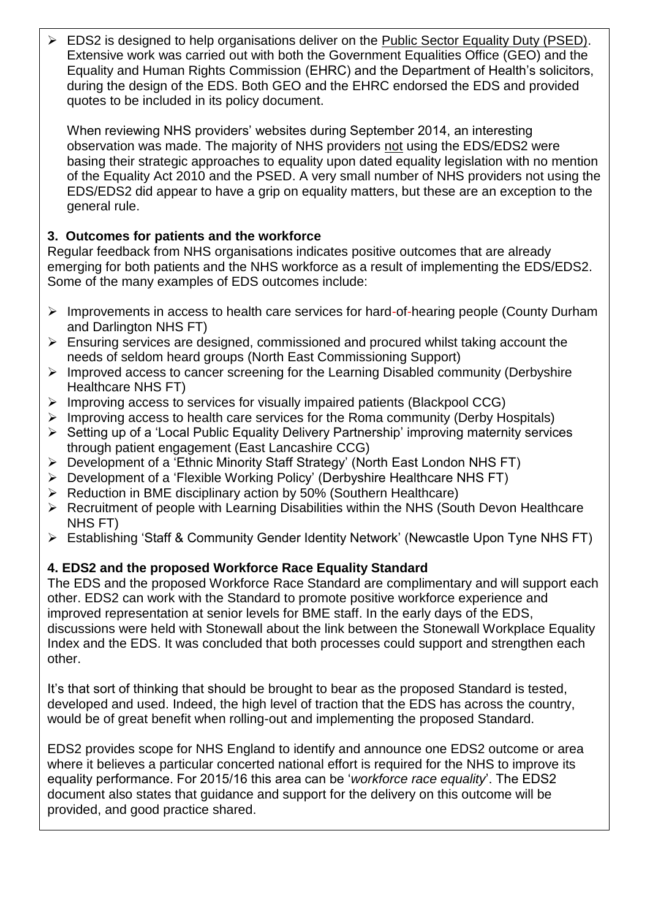EDS2 is designed to help organisations deliver on the Public Sector Equality Duty (PSED). Extensive work was carried out with both the Government Equalities Office (GEO) and the Equality and Human Rights Commission (EHRC) and the Department of Health's solicitors, during the design of the EDS. Both GEO and the EHRC endorsed the EDS and provided quotes to be included in its policy document.

When reviewing NHS providers' websites during September 2014, an interesting observation was made. The majority of NHS providers not using the EDS/EDS2 were basing their strategic approaches to equality upon dated equality legislation with no mention of the Equality Act 2010 and the PSED. A very small number of NHS providers not using the EDS/EDS2 did appear to have a grip on equality matters, but these are an exception to the general rule.

# **3. Outcomes for patients and the workforce**

Regular feedback from NHS organisations indicates positive outcomes that are already emerging for both patients and the NHS workforce as a result of implementing the EDS/EDS2. Some of the many examples of EDS outcomes include:

- $\triangleright$  Improvements in access to health care services for hard-of-hearing people (County Durham and Darlington NHS FT)
- $\triangleright$  Ensuring services are designed, commissioned and procured whilst taking account the needs of seldom heard groups (North East Commissioning Support)
- $\triangleright$  Improved access to cancer screening for the Learning Disabled community (Derbyshire Healthcare NHS FT)
- $\triangleright$  Improving access to services for visually impaired patients (Blackpool CCG)
- $\triangleright$  Improving access to health care services for the Roma community (Derby Hospitals)
- $\triangleright$  Setting up of a 'Local Public Equality Delivery Partnership' improving maternity services through patient engagement (East Lancashire CCG)
- Development of a 'Ethnic Minority Staff Strategy' (North East London NHS FT)
- Development of a 'Flexible Working Policy' (Derbyshire Healthcare NHS FT)
- $\triangleright$  Reduction in BME disciplinary action by 50% (Southern Healthcare)
- $\triangleright$  Recruitment of people with Learning Disabilities within the NHS (South Devon Healthcare NHS FT)
- Establishing 'Staff & Community Gender Identity Network' (Newcastle Upon Tyne NHS FT)

## **4. EDS2 and the proposed Workforce Race Equality Standard**

The EDS and the proposed Workforce Race Standard are complimentary and will support each other. EDS2 can work with the Standard to promote positive workforce experience and improved representation at senior levels for BME staff. In the early days of the EDS, discussions were held with Stonewall about the link between the Stonewall Workplace Equality Index and the EDS. It was concluded that both processes could support and strengthen each other.

It's that sort of thinking that should be brought to bear as the proposed Standard is tested, developed and used. Indeed, the high level of traction that the EDS has across the country, would be of great benefit when rolling-out and implementing the proposed Standard.

EDS2 provides scope for NHS England to identify and announce one EDS2 outcome or area where it believes a particular concerted national effort is required for the NHS to improve its equality performance. For 2015/16 this area can be '*workforce race equality*'. The EDS2 document also states that guidance and support for the delivery on this outcome will be provided, and good practice shared.